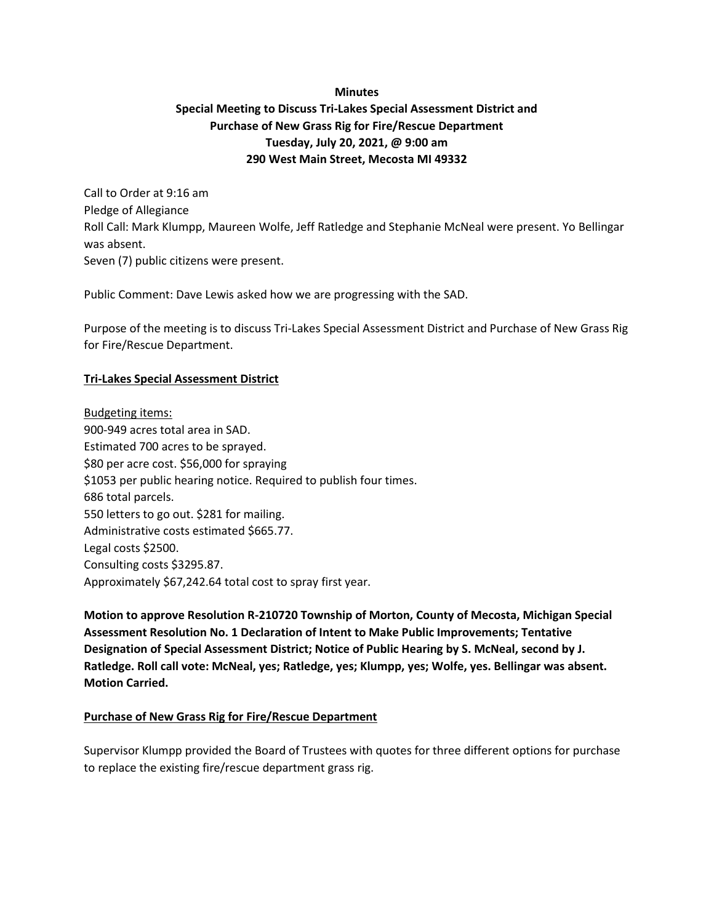## **Minutes**

## **Special Meeting to Discuss Tri-Lakes Special Assessment District and Purchase of New Grass Rig for Fire/Rescue Department Tuesday, July 20, 2021, @ 9:00 am 290 West Main Street, Mecosta MI 49332**

Call to Order at 9:16 am Pledge of Allegiance Roll Call: Mark Klumpp, Maureen Wolfe, Jeff Ratledge and Stephanie McNeal were present. Yo Bellingar was absent. Seven (7) public citizens were present.

Public Comment: Dave Lewis asked how we are progressing with the SAD.

Purpose of the meeting is to discuss Tri-Lakes Special Assessment District and Purchase of New Grass Rig for Fire/Rescue Department.

## **Tri-Lakes Special Assessment District**

Budgeting items: 900-949 acres total area in SAD. Estimated 700 acres to be sprayed. \$80 per acre cost. \$56,000 for spraying \$1053 per public hearing notice. Required to publish four times. 686 total parcels. 550 letters to go out. \$281 for mailing. Administrative costs estimated \$665.77. Legal costs \$2500. Consulting costs \$3295.87. Approximately \$67,242.64 total cost to spray first year.

**Motion to approve Resolution R-210720 Township of Morton, County of Mecosta, Michigan Special Assessment Resolution No. 1 Declaration of Intent to Make Public Improvements; Tentative Designation of Special Assessment District; Notice of Public Hearing by S. McNeal, second by J. Ratledge. Roll call vote: McNeal, yes; Ratledge, yes; Klumpp, yes; Wolfe, yes. Bellingar was absent. Motion Carried.**

## **Purchase of New Grass Rig for Fire/Rescue Department**

Supervisor Klumpp provided the Board of Trustees with quotes for three different options for purchase to replace the existing fire/rescue department grass rig.